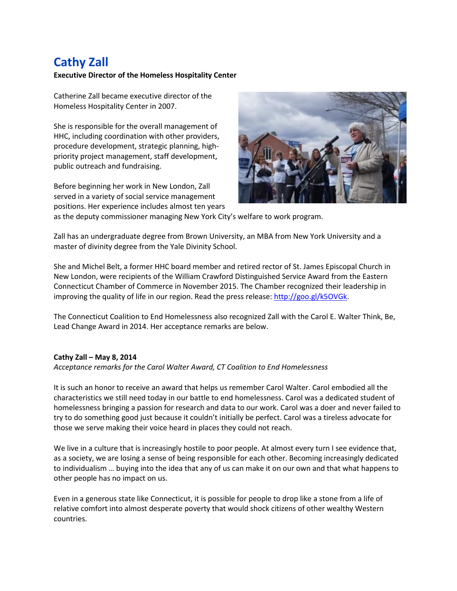## **Cathy Zall**

## **Executive Director of the Homeless Hospitality Center**

Catherine Zall became executive director of the Homeless Hospitality Center in 2007.

She is responsible for the overall management of HHC, including coordination with other providers, procedure development, strategic planning, highpriority project management, staff development, public outreach and fundraising.

Before beginning her work in New London, Zall served in a variety of social service management positions. Her experience includes almost ten years



as the deputy commissioner managing New York City's welfare to work program.

Zall has an undergraduate degree from Brown University, an MBA from New York University and a master of divinity degree from the Yale Divinity School.

She and Michel Belt, a former HHC board member and retired rector of St. James Episcopal Church in New London, were recipients of the William Crawford Distinguished Service Award from the Eastern Connecticut Chamber of Commerce in November 2015. The Chamber recognized their leadership in improving the quality of life in our region. Read the press release: [http://goo.gl/k5OVGk.](http://goo.gl/k5OVGk)

The Connecticut Coalition to End Homelessness also recognized Zall with the Carol E. Walter Think, Be, Lead Change Award in 2014. Her acceptance remarks are below.

## **Cathy Zall – May 8, 2014**

*Acceptance remarks for the Carol Walter Award, CT Coalition to End Homelessness*

It is such an honor to receive an award that helps us remember Carol Walter. Carol embodied all the characteristics we still need today in our battle to end homelessness. Carol was a dedicated student of homelessness bringing a passion for research and data to our work. Carol was a doer and never failed to try to do something good just because it couldn't initially be perfect. Carol was a tireless advocate for those we serve making their voice heard in places they could not reach.

We live in a culture that is increasingly hostile to poor people. At almost every turn I see evidence that, as a society, we are losing a sense of being responsible for each other. Becoming increasingly dedicated to individualism … buying into the idea that any of us can make it on our own and that what happens to other people has no impact on us.

Even in a generous state like Connecticut, it is possible for people to drop like a stone from a life of relative comfort into almost desperate poverty that would shock citizens of other wealthy Western countries.